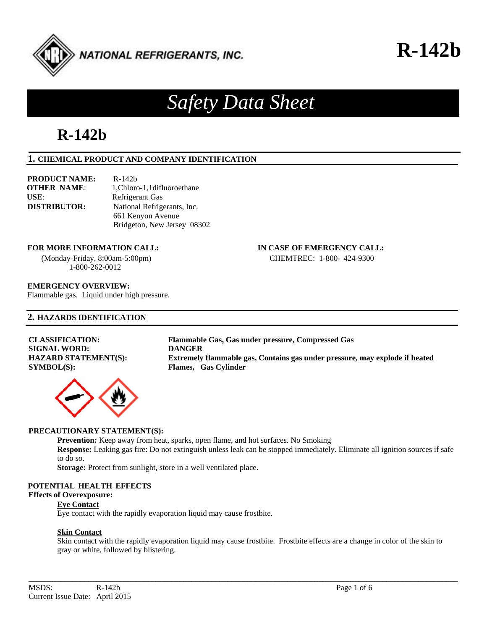

## **R-142b**

## *Safety Data Sheet*

### **R-142b**

#### **1. CHEMICAL PRODUCT AND COMPANY IDENTIFICATION**

| <b>PRODUCT NAME:</b> | R-142b                       |  |
|----------------------|------------------------------|--|
| <b>OTHER NAME:</b>   | 1. Chloro-1.1 difluoroethane |  |
| USE:                 | Refrigerant Gas              |  |
| <b>DISTRIBUTOR:</b>  | National Refrigerants, Inc.  |  |
|                      | 661 Kenyon Avenue            |  |
|                      | Bridgeton, New Jersey 08302  |  |

#### **FOR MORE INFORMATION CALL: IN CASE OF EMERGENCY CALL:**

 (Monday-Friday, 8:00am-5:00pm) 1-800-262-0012

**EMERGENCY OVERVIEW:** 

Flammable gas. Liquid under high pressure.

#### **2. HAZARDS IDENTIFICATION**

### **SIGNAL WORD: DANGER SYMBOL(S): Flames, Gas Cylinder**



**CLASSIFICATION: Flammable Gas, Gas under pressure, Compressed Gas HAZARD STATEMENT(S): Extremely flammable gas, Contains gas under pressure, may explode if heated** 

CHEMTREC: 1-800- 424-9300

### **PRECAUTIONARY STATEMENT(S):**

**Prevention:** Keep away from heat, sparks, open flame, and hot surfaces. No Smoking **Response:** Leaking gas fire: Do not extinguish unless leak can be stopped immediately. Eliminate all ignition sources if safe to do so.

**Storage:** Protect from sunlight, store in a well ventilated place.

#### **POTENTIAL HEALTH EFFECTS**

#### **Effects of Overexposure:**

#### **Eye Contact**

Eye contact with the rapidly evaporation liquid may cause frostbite.

#### **Skin Contact**

 Skin contact with the rapidly evaporation liquid may cause frostbite. Frostbite effects are a change in color of the skin to gray or white, followed by blistering.

**\_\_\_\_\_\_\_\_\_\_\_\_\_\_\_\_\_\_\_\_\_\_\_\_\_\_\_\_\_\_\_\_\_\_\_\_\_\_\_\_\_\_\_\_\_\_\_\_\_\_\_\_\_\_\_\_\_\_\_\_\_\_\_\_\_\_\_\_\_\_\_\_\_\_\_\_\_\_\_\_\_\_\_\_\_\_\_\_\_\_\_\_\_\_\_\_\_\_\_\_\_\_\_\_\_\_\_\_**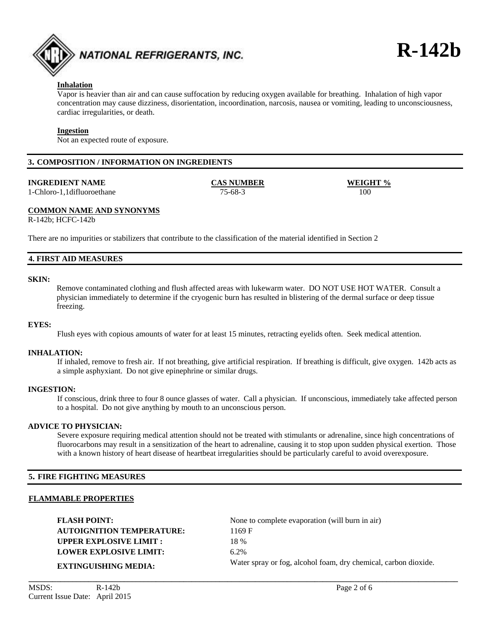

#### **Inhalation**

 Vapor is heavier than air and can cause suffocation by reducing oxygen available for breathing. Inhalation of high vapor concentration may cause dizziness, disorientation, incoordination, narcosis, nausea or vomiting, leading to unconsciousness, cardiac irregularities, or death.

#### **Ingestion**

Not an expected route of exposure.

#### **3. COMPOSITION / INFORMATION ON INGREDIENTS**

#### **INGREDIENT NAME CAS NUMBER WEIGHT %**

1-Chloro-1,1difluoroethane 75-68-3100

#### **COMMON NAME AND SYNONYMS**

R-142b; HCFC-142b

There are no impurities or stabilizers that contribute to the classification of the material identified in Section 2

#### **4. FIRST AID MEASURES**

#### **SKIN:**

 Remove contaminated clothing and flush affected areas with lukewarm water. DO NOT USE HOT WATER. Consult a physician immediately to determine if the cryogenic burn has resulted in blistering of the dermal surface or deep tissue freezing.

#### **EYES:**

Flush eyes with copious amounts of water for at least 15 minutes, retracting eyelids often. Seek medical attention.

#### **INHALATION:**

 If inhaled, remove to fresh air. If not breathing, give artificial respiration. If breathing is difficult, give oxygen. 142b acts as a simple asphyxiant. Do not give epinephrine or similar drugs.

#### **INGESTION:**

If conscious, drink three to four 8 ounce glasses of water. Call a physician. If unconscious, immediately take affected person to a hospital. Do not give anything by mouth to an unconscious person.

#### **ADVICE TO PHYSICIAN:**

Severe exposure requiring medical attention should not be treated with stimulants or adrenaline, since high concentrations of fluorocarbons may result in a sensitization of the heart to adrenaline, causing it to stop upon sudden physical exertion. Those with a known history of heart disease of heartbeat irregularities should be particularly careful to avoid overexposure.

**\_\_\_\_\_\_\_\_\_\_\_\_\_\_\_\_\_\_\_\_\_\_\_\_\_\_\_\_\_\_\_\_\_\_\_\_\_\_\_\_\_\_\_\_\_\_\_\_\_\_\_\_\_\_\_\_\_\_\_\_\_\_\_\_\_\_\_\_\_\_\_\_\_\_\_\_\_\_\_\_\_\_\_\_\_\_\_\_\_\_\_\_\_\_\_\_\_\_\_\_\_\_\_\_\_\_\_\_** 

#### **5. FIRE FIGHTING MEASURES**

#### **FLAMMABLE PROPERTIES**

**AUTOIGNITION TEMPERATURE:** 1169 F **UPPER EXPLOSIVE LIMIT :** 18 % **LOWER EXPLOSIVE LIMIT:** 6.2%

# **FLASH POINT:** None to complete evaporation (will burn in air) **EXTINGUISHING MEDIA:** Water spray or fog, alcohol foam, dry chemical, carbon dioxide.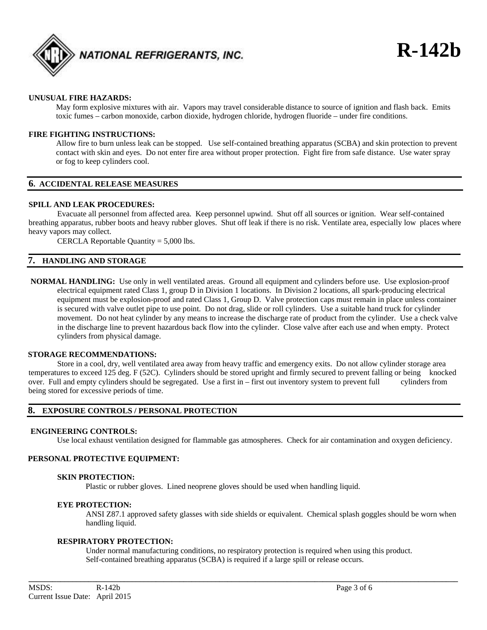

#### **UNUSUAL FIRE HAZARDS:**

May form explosive mixtures with air. Vapors may travel considerable distance to source of ignition and flash back. Emits toxic fumes – carbon monoxide, carbon dioxide, hydrogen chloride, hydrogen fluoride – under fire conditions.

#### **FIRE FIGHTING INSTRUCTIONS:**

Allow fire to burn unless leak can be stopped. Use self-contained breathing apparatus (SCBA) and skin protection to prevent contact with skin and eyes. Do not enter fire area without proper protection. Fight fire from safe distance. Use water spray or fog to keep cylinders cool.

#### **6. ACCIDENTAL RELEASE MEASURES**

#### **SPILL AND LEAK PROCEDURES:**

 Evacuate all personnel from affected area. Keep personnel upwind. Shut off all sources or ignition. Wear self-contained breathing apparatus, rubber boots and heavy rubber gloves. Shut off leak if there is no risk. Ventilate area, especially low places where heavy vapors may collect.

CERCLA Reportable Quantity = 5,000 lbs.

#### **7. HANDLING AND STORAGE**

 **NORMAL HANDLING:** Use only in well ventilated areas. Ground all equipment and cylinders before use. Use explosion-proof electrical equipment rated Class 1, group D in Division 1 locations. In Division 2 locations, all spark-producing electrical equipment must be explosion-proof and rated Class 1, Group D. Valve protection caps must remain in place unless container is secured with valve outlet pipe to use point. Do not drag, slide or roll cylinders. Use a suitable hand truck for cylinder movement. Do not heat cylinder by any means to increase the discharge rate of product from the cylinder. Use a check valve in the discharge line to prevent hazardous back flow into the cylinder. Close valve after each use and when empty. Protect cylinders from physical damage.

#### **STORAGE RECOMMENDATIONS:**

 Store in a cool, dry, well ventilated area away from heavy traffic and emergency exits. Do not allow cylinder storage area temperatures to exceed 125 deg. F (52C). Cylinders should be stored upright and firmly secured to prevent falling or being knocked over. Full and empty cylinders should be segregated. Use a first in – first out inventory system to prevent full cylinders from being stored for excessive periods of time.

#### **8. EXPOSURE CONTROLS / PERSONAL PROTECTION**

#### **ENGINEERING CONTROLS:**

Use local exhaust ventilation designed for flammable gas atmospheres. Check for air contamination and oxygen deficiency.

#### **PERSONAL PROTECTIVE EQUIPMENT:**

#### **SKIN PROTECTION:**

Plastic or rubber gloves. Lined neoprene gloves should be used when handling liquid.

#### **EYE PROTECTION:**

ANSI Z87.1 approved safety glasses with side shields or equivalent. Chemical splash goggles should be worn when handling liquid.

#### **RESPIRATORY PROTECTION:**

 Under normal manufacturing conditions, no respiratory protection is required when using this product. Self-contained breathing apparatus (SCBA) is required if a large spill or release occurs.

**\_\_\_\_\_\_\_\_\_\_\_\_\_\_\_\_\_\_\_\_\_\_\_\_\_\_\_\_\_\_\_\_\_\_\_\_\_\_\_\_\_\_\_\_\_\_\_\_\_\_\_\_\_\_\_\_\_\_\_\_\_\_\_\_\_\_\_\_\_\_\_\_\_\_\_\_\_\_\_\_\_\_\_\_\_\_\_\_\_\_\_\_\_\_\_\_\_\_\_\_\_\_\_\_\_\_\_\_**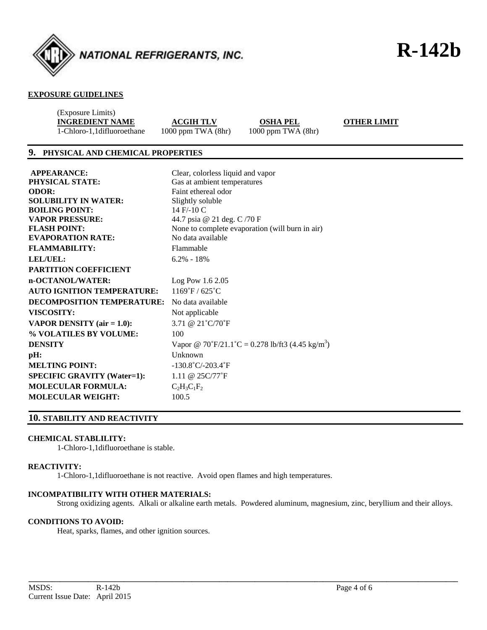

#### **EXPOSURE GUIDELINES**

| (Exposure Limits)          |                        |                        |
|----------------------------|------------------------|------------------------|
| <b>INGREDIENT NAME</b>     | <b>ACGIH TLV</b>       | <b>OSHA PEL</b>        |
| 1-Chloro-1,1difluoroethane | $1000$ ppm TWA $(8hr)$ | $1000$ ppm TWA $(8hr)$ |

 **OTHER LIMIT** 

**R-142b** 

#### **9. PHYSICAL AND CHEMICAL PROPERTIES**

| <b>APPEARANCE:</b>                 | Clear, colorless liquid and vapor                            |
|------------------------------------|--------------------------------------------------------------|
| PHYSICAL STATE:                    | Gas at ambient temperatures                                  |
| <b>ODOR:</b>                       | Faint ethereal odor                                          |
| <b>SOLUBILITY IN WATER:</b>        | Slightly soluble                                             |
| <b>BOILING POINT:</b>              | 14 F/-10 C                                                   |
| <b>VAPOR PRESSURE:</b>             | 44.7 psia @ 21 deg. C /70 F                                  |
| <b>FLASH POINT:</b>                | None to complete evaporation (will burn in air)              |
| <b>EVAPORATION RATE:</b>           | No data available                                            |
| <b>FLAMMABILITY:</b>               | Flammable                                                    |
| <b>LEL/UEL:</b>                    | $6.2\% - 18\%$                                               |
| PARTITION COEFFICIENT              |                                                              |
| n-OCTANOL/WATER:                   | Log Pow 1.6 2.05                                             |
| <b>AUTO IGNITION TEMPERATURE:</b>  | 1169°F / 625°C                                               |
| <b>DECOMPOSITION TEMPERATURE:</b>  | No data available                                            |
| <b>VISCOSITY:</b>                  | Not applicable                                               |
| VAPOR DENSITY (air $= 1.0$ ):      | 3.71 @ $21^{\circ}C/70^{\circ}F$                             |
| % VOLATILES BY VOLUME:             | 100                                                          |
| <b>DENSITY</b>                     | Vapor @ 70°F/21.1°C = 0.278 lb/ft3 (4.45 kg/m <sup>3</sup> ) |
| pH:                                | Unknown                                                      |
| <b>MELTING POINT:</b>              | $-130.8^{\circ}$ C/-203.4 $^{\circ}$ F                       |
| <b>SPECIFIC GRAVITY (Water=1):</b> | 1.11 @ $25C/77$ °F                                           |
| <b>MOLECULAR FORMULA:</b>          | $C_2H_3C_1F_2$                                               |
| <b>MOLECULAR WEIGHT:</b>           | 100.5                                                        |

#### **10. STABILITY AND REACTIVITY**

#### **CHEMICAL STABLILITY:**

1-Chloro-1,1difluoroethane is stable.

#### **REACTIVITY:**

1-Chloro-1,1difluoroethane is not reactive. Avoid open flames and high temperatures.

#### **INCOMPATIBILITY WITH OTHER MATERIALS:**

Strong oxidizing agents. Alkali or alkaline earth metals. Powdered aluminum, magnesium, zinc, beryllium and their alloys.

**\_\_\_\_\_\_\_\_\_\_\_\_\_\_\_\_\_\_\_\_\_\_\_\_\_\_\_\_\_\_\_\_\_\_\_\_\_\_\_\_\_\_\_\_\_\_\_\_\_\_\_\_\_\_\_\_\_\_\_\_\_\_\_\_\_\_\_\_\_\_\_\_\_\_\_\_\_\_\_\_\_\_\_\_\_\_\_\_\_\_\_\_\_\_\_\_\_\_\_\_\_\_\_\_\_\_\_\_** 

#### **CONDITIONS TO AVOID:**

Heat, sparks, flames, and other ignition sources.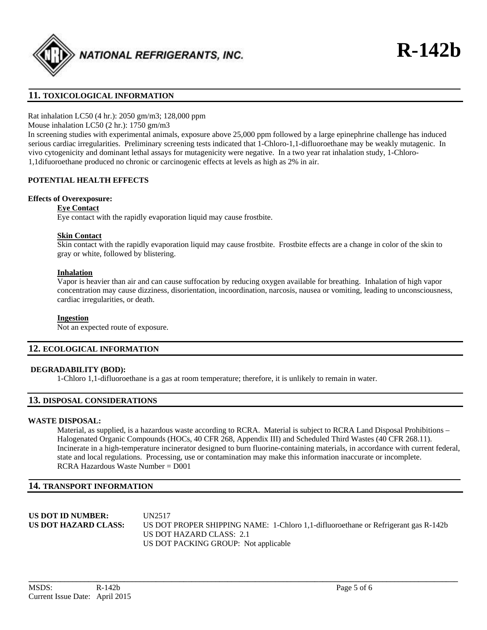

#### **11. TOXICOLOGICAL INFORMATION**

Rat inhalation LC50 (4 hr.): 2050 gm/m3; 128,000 ppm

Mouse inhalation LC50 (2 hr.): 1750 gm/m3

In screening studies with experimental animals, exposure above 25,000 ppm followed by a large epinephrine challenge has induced serious cardiac irregularities. Preliminary screening tests indicated that 1-Chloro-1,1-difluoroethane may be weakly mutagenic. In vivo cytogenicity and dominant lethal assays for mutagenicity were negative. In a two year rat inhalation study, 1-Chloro-1,1difuoroethane produced no chronic or carcinogenic effects at levels as high as 2% in air.

#### **POTENTIAL HEALTH EFFECTS**

#### **Effects of Overexposure:**

#### **Eye Contact**

Eye contact with the rapidly evaporation liquid may cause frostbite.

#### **Skin Contact**

 Skin contact with the rapidly evaporation liquid may cause frostbite. Frostbite effects are a change in color of the skin to gray or white, followed by blistering.

#### **Inhalation**

 Vapor is heavier than air and can cause suffocation by reducing oxygen available for breathing. Inhalation of high vapor concentration may cause dizziness, disorientation, incoordination, narcosis, nausea or vomiting, leading to unconsciousness, cardiac irregularities, or death.

#### **Ingestion**

Not an expected route of exposure.

#### **12. ECOLOGICAL INFORMATION**

#### **DEGRADABILITY (BOD):**

1-Chloro 1,1-difluoroethane is a gas at room temperature; therefore, it is unlikely to remain in water.

#### **13. DISPOSAL CONSIDERATIONS**

#### **WASTE DISPOSAL:**

 Material, as supplied, is a hazardous waste according to RCRA. Material is subject to RCRA Land Disposal Prohibitions – Halogenated Organic Compounds (HOCs, 40 CFR 268, Appendix III) and Scheduled Third Wastes (40 CFR 268.11). Incinerate in a high-temperature incinerator designed to burn fluorine-containing materials, in accordance with current federal, state and local regulations. Processing, use or contamination may make this information inaccurate or incomplete. RCRA Hazardous Waste Number = D001

#### **14. TRANSPORT INFORMATION**

**US DOT ID NUMBER:** UN2517 **US DOT HAZARD CLASS:** US DOT PROPER SHIPPING NAME: 1-Chloro 1,1-difluoroethane or Refrigerant gas R-142b US DOT HAZARD CLASS: 2.1 US DOT PACKING GROUP: Not applicable

**\_\_\_\_\_\_\_\_\_\_\_\_\_\_\_\_\_\_\_\_\_\_\_\_\_\_\_\_\_\_\_\_\_\_\_\_\_\_\_\_\_\_\_\_\_\_\_\_\_\_\_\_\_\_\_\_\_\_\_\_\_\_\_\_\_\_\_\_\_\_\_\_\_\_\_\_\_\_\_\_\_\_\_\_\_\_\_\_\_\_\_\_\_\_\_\_\_\_\_\_\_\_\_\_\_\_\_\_**